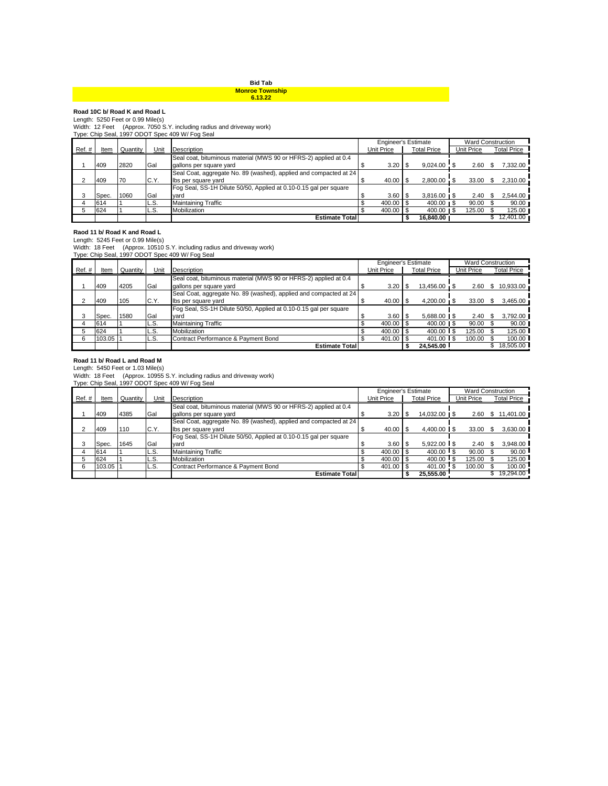## **Bid Tab**

# **Monroe Township 6.13.22**

**Road 10C b/ Road K and Road L**<br>Length: 5250 Feet or 0.99 Mile(s)<br>Width: 12 Feet (Approx. 7050 S.Y. including radius and driveway work)<br>Type: Chip Seal, 1997 ODOT Spec 409 W/ Fog Seal

|        |       |          |       |                                                                   | Engineer's Estimate |              |  |                       |            | <b>Ward Construction</b> |             |  |
|--------|-------|----------|-------|-------------------------------------------------------------------|---------------------|--------------|--|-----------------------|------------|--------------------------|-------------|--|
| Ref. # | ltem  | Quantity | Unit  | Description                                                       |                     | Unit Price   |  | <b>Total Price</b>    | Unit Price |                          | Total Price |  |
|        |       |          |       | Seal coat, bituminous material (MWS 90 or HFRS-2) applied at 0.4  |                     |              |  |                       |            |                          |             |  |
|        | 409   | 2820     | Gal   | gallons per square yard                                           |                     | 3.20         |  | $9.024.00$ \$         | 2.60       |                          | 7.332.00    |  |
|        |       |          |       | Seal Coat, aggregate No. 89 (washed), applied and compacted at 24 |                     |              |  |                       |            |                          |             |  |
| ົ      | 409   | 170      | C.Y.  | Ibs per square yard                                               |                     | $40.00$ \ \$ |  | $2.800.00$ \$         | $33.00$ \$ |                          | 2,310.00    |  |
|        |       |          |       | Fog Seal, SS-1H Dilute 50/50, Applied at 0.10-0.15 gal per square |                     |              |  |                       |            |                          |             |  |
|        | Spec. | 1060     | Gal   | vard                                                              |                     | 3.60         |  | $3.816.00$ \ \$       | 2.40       |                          | 2.544.00    |  |
|        | 614   |          | L.S.  | <b>Maintaining Traffic</b>                                        |                     | 400.00       |  | $400.00 \text{ m}$ \$ | 90.00      |                          | 90.00       |  |
|        | 624   |          | IL.S. | Mobilization                                                      |                     | 400.00       |  | $400.00$ IS           | 125.00     |                          | 125.00      |  |
|        |       |          |       | <b>Estimate Total</b>                                             |                     |              |  | 16.840.00             |            |                          | 12,401.00   |  |

**Raod 11 b/ Road K and Road L**<br>Length: 5245 Feet or 0.99 Mile(s)<br>Width: 18 Feet (Approx. 10510 S.Y. including radius and driveway work)<br>Type: Chip Seal, 1997 ODOT Spec 409 W/ Fog Seal

|           |        |               |      |                                                                   | <b>Engineer's Estimate</b> |              |  |                              |  |            |     | <b>Ward Construction</b> |  |
|-----------|--------|---------------|------|-------------------------------------------------------------------|----------------------------|--------------|--|------------------------------|--|------------|-----|--------------------------|--|
| $Ref. \#$ |        | Item Quantity | Unit | Description                                                       |                            | Unit Price   |  | <b>Total Price</b>           |  | Unit Price |     | <b>Total Price</b>       |  |
|           |        |               |      | Seal coat, bituminous material (MWS 90 or HFRS-2) applied at 0.4  |                            |              |  |                              |  |            |     |                          |  |
|           | 409    | 4205          | Gal  | gallons per square yard                                           |                            | $3.20$ \$    |  | 13,456.00 \$                 |  | 2.60       | -SS | 10,933.00                |  |
|           |        |               |      | Seal Coat, aggregate No. 89 (washed), applied and compacted at 24 |                            |              |  |                              |  |            |     |                          |  |
|           | 409    | 105           | C.Y. | Ibs per square yard                                               |                            | $40.00$ \ \$ |  | $4.200.00 \times$            |  | $33.00$ \$ |     | 3,465.00                 |  |
|           |        |               |      | Fog Seal, SS-1H Dilute 50/50, Applied at 0.10-0.15 gal per square |                            |              |  |                              |  |            |     |                          |  |
|           | Spec.  | 1580          | Gal  | vard                                                              |                            | $3.60$ \ \$  |  | $5.688.00$ $\blacksquare$ \$ |  | 2.40       |     | 3,792.00                 |  |
|           | 614    |               | L.S. | <b>Maintaining Traffic</b>                                        |                            | 400.00 \$    |  | 400.00   \$                  |  | 90.00      |     | 90.00                    |  |
|           | 624    |               | L.S. | Mobilization                                                      |                            | 400.00 \$    |  |                              |  | 125.00     |     | 125.00                   |  |
|           | 103.05 |               | L.S. | Contract Performance & Payment Bond                               |                            | 401.00 \$    |  | 401.00                       |  | 100.00     |     | 100.00                   |  |
|           |        |               |      | <b>Estimate Total</b>                                             |                            |              |  | 24.545.00                    |  |            |     | 18.505.00                |  |

## **Road 11 b/ Road L and Road M**

Length: 5450 Feet or 1.03 Mile(s) Width: 18 Feet (Approx. 10955 S.Y. including radius and driveway work) Type: Chip Seal, 1997 ODOT Spec 409 W/ Fog Seal

|       |        |          |      |                                                                   | <b>Engineer's Estimate</b> |              |  |                    |  | <b>Ward Construction</b> |    |                    |  |
|-------|--------|----------|------|-------------------------------------------------------------------|----------------------------|--------------|--|--------------------|--|--------------------------|----|--------------------|--|
| Ref.# | Item   | Quantity | Unit | Description                                                       |                            | Unit Price   |  | <b>Total Price</b> |  | Unit Price               |    | <b>Total Price</b> |  |
|       |        |          |      | Seal coat, bituminous material (MWS 90 or HFRS-2) applied at 0.4  |                            |              |  |                    |  |                          |    |                    |  |
|       | 409    | 4385     | Gal  | gallons per square yard                                           |                            | 3.20         |  | 14,032.00   \$     |  | 2.60                     | \$ | 11,401.00          |  |
|       |        |          |      | Seal Coat, aggregate No. 89 (washed), applied and compacted at 24 |                            |              |  |                    |  |                          |    |                    |  |
|       | 409    | 110      | C.Y. | Ibs per square yard                                               |                            | $40.00$ \ \$ |  | $4.400.00$ S       |  | 33.00                    |    | 3,630.00           |  |
|       |        |          |      | Fog Seal, SS-1H Dilute 50/50, Applied at 0.10-0.15 gal per square |                            |              |  |                    |  |                          |    |                    |  |
|       | Spec.  | 1645     | Gal  | vard                                                              |                            | $3.60$ \$    |  | $5.922.00$ \ \$    |  | 2.40                     |    | 3,948.00           |  |
|       | 614    |          | L.S. | <b>Maintaining Traffic</b>                                        |                            | 400.00 \$    |  | $400.00$ S         |  | 90.00                    |    | 90.00              |  |
|       | 624    |          | L.S. | Mobilization                                                      |                            | 400.00 \$    |  | $400.00$ \$        |  | 125.00                   |    | 125.00             |  |
| 6     | 103.05 |          | L.S. | Contract Performance & Payment Bond                               |                            | $401.00$ \$  |  | 401.00 \$          |  | 100.00                   |    | 100.00             |  |
|       |        |          |      | <b>Estimate Total</b>                                             |                            |              |  | 25,555.00          |  |                          |    | 19.294.00          |  |